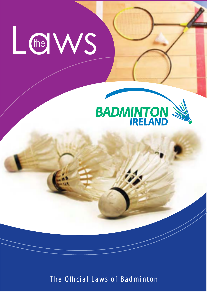



The Official Laws of Badminton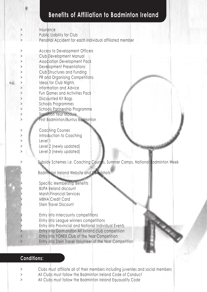# **Benefits of Affiliation to Badminton Ireland**

| $\rm{>}$<br>$\,>\,$ | Insurance<br>Public Liability for Club                                       |  |
|---------------------|------------------------------------------------------------------------------|--|
|                     | Personal Accident for each individual affiliated member                      |  |
| $\, >$              | Access to Development Officers                                               |  |
| $\rm{>}$            | Club Development Manual                                                      |  |
| >                   | <b>Association Development Pack</b>                                          |  |
| $\rm{>}$            | <b>Development Presentations</b>                                             |  |
| $\rm{>}$            | Club Structures and Funding                                                  |  |
| $\mathcal{P}$       | PR and Organising Competitions                                               |  |
| $\, >$              | Ideas for Club Nights                                                        |  |
| $\mathbf{I}$        | Information and Advice                                                       |  |
| $\mathbf{I}$        | Fun Games and Activities Pack                                                |  |
| $\rm{>}$            | Discounted Kit Bags                                                          |  |
| $\rm{>}$            | <b>Schools Programmes</b>                                                    |  |
| $\rm{>}$            | Schools Partnership Programme                                                |  |
| $\rm{>}$            | <b>Transition Year Module</b>                                                |  |
| $\mathbf{L}$        | First Badminton/Buntus Badminton                                             |  |
|                     |                                                                              |  |
| $\rm{>}$            | <b>Coaching Courses</b>                                                      |  |
| $\rm{>}$            | Introduction to Coaching                                                     |  |
| $\rm{>}$            | Level <sup>1</sup>                                                           |  |
| >                   | Level 2 (newly updated)                                                      |  |
| $\rm{>}$            | Level 3 (newly updated)                                                      |  |
|                     | Subsidy Schemes i.e. Coaching Courses, Summer Camps, National Badminton Week |  |
|                     |                                                                              |  |
|                     | Badminton Ireland Website and E-Mailshots                                    |  |
|                     |                                                                              |  |
|                     | Specific Membership Benefits                                                 |  |
|                     | <b>BUPA Ireland discount</b>                                                 |  |
|                     | Marsh Financial Services                                                     |  |
|                     | <b>MBNA</b> Credit Card                                                      |  |
|                     | Stein Travel Discount                                                        |  |
|                     |                                                                              |  |
|                     | Entry into Intercounty competitions                                          |  |
|                     | Entry into League winners competitions                                       |  |
|                     | Entry into Provincial and National Individual Events                         |  |
|                     | Entry into Gormanston All Ireland club competition                           |  |
| $\geq$              | Entry into YONEX Club of the Year Competition                                |  |
| $\mathbf{L}$        | Entry into Stein Travel Volunteer of the Year Competition                    |  |
|                     |                                                                              |  |
|                     |                                                                              |  |

# **Conditions:**

- > Clubs must affiliate all of their members including juveniles and social members
- > All Clubs must follow the Badminton Ireland Code of Conduct
- > All Clubs must follow the Badminton Ireland Equauality Code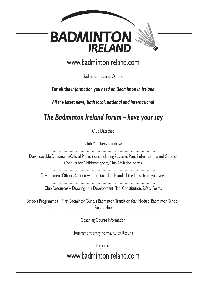| <b>BADMINTON</b><br><b>IRELAND</b>                                                                                                                       |
|----------------------------------------------------------------------------------------------------------------------------------------------------------|
| www.badmintonireland.com                                                                                                                                 |
| <b>Badminton Ireland On-line</b>                                                                                                                         |
| For all the information you need on Badminton in Ireland                                                                                                 |
| All the latest news, both local, national and international                                                                                              |
| The Badminton Ireland Forum - have your say                                                                                                              |
| Club Database                                                                                                                                            |
| Club Members Database                                                                                                                                    |
| Downloadable Documents/Official Publications including Strategic Plan, Badminton Ireland Code of<br>Conduct for Children's Sport, Club Affiliation Forms |
| Development Officers Section with contact details and all the latest from your area                                                                      |
| Club Resources - Drawing up a Development Plan, Constitution, Safety Forms                                                                               |
| Schools Programmes - First Badminton/Buntus Badminton, Transition Year Module, Badminton Schools<br>Partnership                                          |
| Coaching Course Information                                                                                                                              |
| Tournament Entry Forms, Rules, Results                                                                                                                   |
| Log on to                                                                                                                                                |
| www.badmintonireland.com                                                                                                                                 |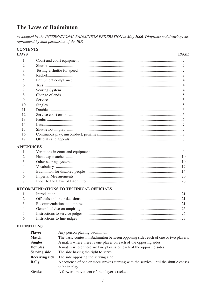# The Laws of Badminton

as adopted by the INTERNATIONAL BADMINTON FEDERATION in May 2006. Diagrams and drawings are reproduced by kind permission of the IBF.

| <b>CONTENTS</b><br><b>LAWS</b> |                                                                                                   | <b>PAGE</b> |  |  |  |  |  |
|--------------------------------|---------------------------------------------------------------------------------------------------|-------------|--|--|--|--|--|
| 1                              |                                                                                                   |             |  |  |  |  |  |
| 2                              |                                                                                                   |             |  |  |  |  |  |
| 3                              |                                                                                                   |             |  |  |  |  |  |
| 4                              |                                                                                                   |             |  |  |  |  |  |
| 5                              |                                                                                                   |             |  |  |  |  |  |
| 6                              |                                                                                                   |             |  |  |  |  |  |
| 7                              |                                                                                                   |             |  |  |  |  |  |
| 8                              |                                                                                                   |             |  |  |  |  |  |
| 9                              |                                                                                                   |             |  |  |  |  |  |
| 10                             |                                                                                                   |             |  |  |  |  |  |
| 11                             |                                                                                                   |             |  |  |  |  |  |
| 12                             |                                                                                                   |             |  |  |  |  |  |
| 13                             |                                                                                                   |             |  |  |  |  |  |
| 14                             |                                                                                                   |             |  |  |  |  |  |
| 15                             |                                                                                                   |             |  |  |  |  |  |
| 16                             |                                                                                                   |             |  |  |  |  |  |
| 17                             |                                                                                                   |             |  |  |  |  |  |
| <b>APPENDICES</b>              |                                                                                                   |             |  |  |  |  |  |
| $\mathbf{1}$                   |                                                                                                   |             |  |  |  |  |  |
| $\overline{2}$                 |                                                                                                   |             |  |  |  |  |  |
| 3                              |                                                                                                   |             |  |  |  |  |  |
| 4                              |                                                                                                   |             |  |  |  |  |  |
| 5                              |                                                                                                   |             |  |  |  |  |  |
| 6                              |                                                                                                   |             |  |  |  |  |  |
| 7                              |                                                                                                   |             |  |  |  |  |  |
|                                | RECOMMENDATIONS TO TECHNICAL OFFICIALS                                                            |             |  |  |  |  |  |
| $\mathbf{1}$                   |                                                                                                   |             |  |  |  |  |  |
| 2                              |                                                                                                   |             |  |  |  |  |  |
| 3                              |                                                                                                   |             |  |  |  |  |  |
| 4                              |                                                                                                   |             |  |  |  |  |  |
| 5                              |                                                                                                   |             |  |  |  |  |  |
| 6                              |                                                                                                   |             |  |  |  |  |  |
| <b>DEFINITIONS</b>             |                                                                                                   |             |  |  |  |  |  |
|                                | <b>Player</b><br>Any person playing badminton                                                     |             |  |  |  |  |  |
|                                | <b>Match</b><br>The basic contest in Badminton between opposing sides each of one or two players. |             |  |  |  |  |  |
|                                | A match where there is one player on each of the opposing sides.<br><b>Singles</b>                |             |  |  |  |  |  |
|                                | <b>Doubles</b><br>A match where there are two players on each of the opposing sides.              |             |  |  |  |  |  |
|                                | <b>Serving side</b><br>The side having the right to serve.                                        |             |  |  |  |  |  |

- **Receiving side** The side opposing the serving side.
- A sequence of one or more strokes starting with the service, until the shuttle ceases Rally to be in play.
- **Stroke** A forward movement of the player's racket.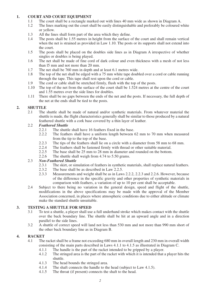# **1. COURT AND COURT EQUIPMENT**

- 1.1 The court shall be a rectangle marked out with lines 40 mm wide as shown in Diagram A.<br>1.2 The lines marking out the court shall be easily distinguishable and preferably be coloured v
- The lines marking out the court shall be easily distinguishable and preferably be coloured white or yellow.
- 1.3 All the lines shall form part of the area which they define.<br>1.4 The posts shall be 1.55 metres in height from the surface of
- 1.4 The posts shall be 1.55 metres in height from the surface of the court and shall remain vertical when the net is strained as provided in Law 1.10. The posts or its supports shall not extend into the court.
- 1.5 The posts shall be placed on the doubles side lines as in Diagram A irrespective of whether singles or doubles is being played.
- 1.6 The net shall be made of fine cord of dark colour and even thickness with a mesh of not less than l5 mm and not more than 20 mm.
- 1.7 The net shall be 760 mm in depth and at least 6.1 metres wide.<br>1.8 The top of the net shall be edged with a 75 mm white tape doub
- The top of the net shall be edged with a 75 mm white tape doubled over a cord or cable running through the tape. This tape shall rest upon the cord or cable.
- 1.9 The cord or cable shall be stretched firmly, flush with the top of the posts.
- 1.10 The top of the net from the surface of the court shall be 1.524 metres at the centre of the court and 1.55 metres over the side lines for doubles.
- 1.11 There shall be no gaps between the ends of the net and the posts. If necessary, the full depth of the net at the ends shall be tied to the posts.

#### **2. SHUTTLE**

2.1 The shuttle shall be made of natural and/or synthetic materials. From whatever material the shuttle is made, the flight characteristics generally shall be similar to those produced by a natural feathered shuttle with a cork base covered by a thin layer of leather.

# 2.2 *Feathered Shuttle*

- 2.2.1 The shuttle shall have 16 feathers fixed in the base.<br>2.2.2 The feathers shall have a uniform length between
- The feathers shall have a uniform length between 62 mm to 70 mm when measured from the tip to the top of the base.
- 2.2.3 The tips of the feathers shall lie on a circle with a diameter from 58 mm to 68 mm.<br>2.2.4 The feathers shall be fastened firmly with thread or other suitable material
- 2.2.4 The feathers shall be fastened firmly with thread or other suitable material.<br>2.2.5 The base shall be 25 mm to 28 mm in diameter and rounded on the bottom
- 2.2.5 The base shall be 25 mm to 28 mm in diameter and rounded on the bottom.<br>2.2.6 The shuttle shall weigh from  $4.74$  to 5.50 grams.
- The shuttle shall weigh from 4.74 to 5.50 grams.

# 2.3 *Non-Feathered Shuttle*

- 2.3.1 The skirt, or simulation of feathers in synthetic materials, shall replace natural feathers.<br>2.3.2 The base shall be as described in Law 2.2.5
- The base shall be as described in Law 2.2.5.
- 2.3.3 Measurements and weight shall be as in Laws 2.2.2, 2.2.3 and 2.2.6. However, because of the difference in the specific gravity and other properties of synthetic materials in comparison with feathers, a variation of up to 10 per cent shall be acceptable.
- 2.4 Subject to there being no variation in the general design, speed and flight of the shuttle, modifications in the above specifications may be made with the approval of the Member Association concerned, in places where atmospheric conditions due to either altitude or climate make the standard shuttle unsuitable.

#### **3. TESTING A SHUTTLE FOR SPEED**

- 3.1 To test a shuttle, a player shall use a full underhand stroke which makes contact with the shuttle over the back boundary line. The shuttle shall be hit at an upward angle and in a direction parallel to the side lines.
- 3.2 A shuttle of correct speed will land not less than 530 mm and not more than 990 mm short of the other back boundary line as in Diagram B.

#### **4. RACKET**

- 4.1 The racket shall be a frame not exceeding 680 mm in overall length and 230 mm in overall width consisting of the main parts described in Laws 4.1.1 to 4.1.5 as illustrated in Diagram C.<br>4.1.1 The handle is the part of the racket intended to be gripped by a player.
	- 4.1.1 The handle is the part of the racket intended to be gripped by a player.<br>4.1.2 The stringed area is the part of the racket with which it is intended that a
	- The stringed area is the part of the racket with which it is intended that a player hits the shuttle.
	- 4.1.3 The head bounds the stringed area.<br>4.1.4 The shaft connects the handle to the
	- The shaft connects the handle to the head (subject to Law 4.1.5).
	- 4.1.5 The throat (if present) connects the shaft to the head.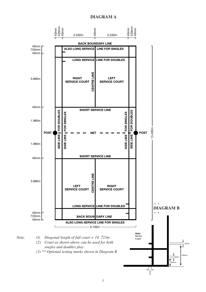# **DIAGRAM A**

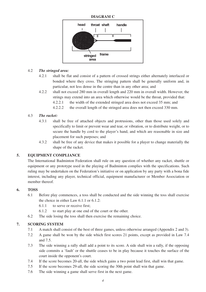#### **DIAGRAM C**



#### 4.2 *The stringed area:*

- 4.2.1 shall be flat and consist of a pattern of crossed strings either alternately interlaced or bonded where they cross. The stringing pattern shall be generally uniform and, in particular, not less dense in the centre than in any other area; and
- 4.2.2 shall not exceed 280 mm in overall length and 220 mm in overall width. However, the strings may extend into an area which otherwise would be the throat, provided that:
	- 4.2.2.1 the width of the extended stringed area does not exceed 35 mm; and
	- 4.2.2.2 the overall length of the stringed area does not then exceed 330 mm.

#### 4.3 *The racket:*

- 4.3.1 shall be free of attached objects and protrusions, other than those used solely and specifically to limit or prevent wear and tear, or vibration, or to distribute weight, or to secure the handle by cord to the player's hand, and which are reasonable in size and placement for such purposes; and
- 4.3.2 shall be free of any device that makes it possible for a player to change materially the shape of the racket.

#### **5. EQUIPMENT COMPLIANCE**

The International Badminton Federation shall rule on any question of whether any racket, shuttle or equipment or any prototype used in the playing of Badminton complies with the specifications. Such ruling may be undertaken on the Federation's initiative or on application by any party with a bona fide interest, including any player, technical official, equipment manufacturer or Member Association or member thereof.

### **6. TOSS**

- 6.1 Before play commences, a toss shall be conducted and the side winning the toss shall exercise the choice in either Law  $6.1.1$  or  $6.1.2$ :
	- 6.1.1 to serve or receive first;
	- 6.1.2 to start play at one end of the court or the other.
- 6.2 The side losing the toss shall then exercise the remaining choice.

# **7. SCORING SYSTEM**

- 7.1 A match shall consist of the best of three games, unless otherwise arranged (Appendix 2 and 3).
- 7.2 A game shall be won by the side which first scores 21 points, except as provided in Law 7.4 and 7.5.
- 7.3 The side winning a rally shall add a point to its score. A side shall win a rally, if the opposing side commits a 'fault' or the shuttle ceases to be in play because it touches the surface of the court inside the opponent's court.
- 7.4 If the score becomes 20-all, the side which gains a two point lead first, shall win that game.
- 7.5 If the score becomes 29-all, the side scoring the 30th point shall win that game.
- 7.6 The side winning a game shall serve first in the next game.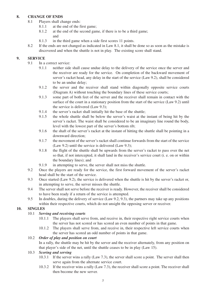# **8. CHANGE OF ENDS**

- 8.1 Players shall change ends:
	- 8.1.1 at the end of the first game;
	- 8.1.2 at the end of the second game, if there is to be a third game; and
	- 8.1.3 in the third game when a side first scores 11 points.
- 8.2 If the ends are not changed as indicated in Law 8.1, it shall be done so as soon as the mistake is discovered and when the shuttle is not in play. The existing score shall stand.

# **9. SERVICE**

- 9.1 In a correct service:<br>9.1.1 neither side
	- 9.1.1 neither side shall cause undue delay to the delivery of the service once the server and the receiver are ready for the service. On completion of the backward movement of server's racket head, any delay in the start of the service (Law 9.2), shall be considered to be an undue delay;
	- 9.1.2 the server and the receiver shall stand within diagonally opposite service courts (Diagram A) without touching the boundary lines of these service courts;
	- 9.1.3 some part of both feet of the server and the receiver shall remain in contact with the surface of the court in a stationary position from the start of the service (Law 9.2) until the service is delivered (Law 9.3);
	- 9.1.4 the server's racket shall initially hit the base of the shuttle;<br>9.1.5 the whole shuttle shall be below the server's waist at the
	- 9.1.5 the whole shuttle shall be below the server's waist at the instant of being hit by the server's racket. The waist shall be considered to be an imaginary line round the body, level with the lowest part of the server's bottom rib;
	- 9.1.6 the shaft of the server's racket at the instant of hitting the shuttle shall be pointing in a downward direction;
	- 9.1.7 the movement of the server's racket shall continue forwards from the start of the service (Law 9.2) until the service is delivered (Law 9.3);
	- 9.1.8 the flight of the shuttle shall be upwards from the server's racket to pass over the net so that, if not intercepted, it shall land in the receiver's service court (i. e. on or within the boundary lines); and
	- 9.1.9 in attempting to serve, the server shall not miss the shuttle.
- 9.2 Once the players are ready for the service, the first forward movement of the server's racket head shall be the start of the service.
- 9.3 Once started (Law 9.2), the service is delivered when the shuttle is hit by the server's racket or, in attempting to serve, the server misses the shuttle.
- 9.4 The server shall not serve before the receiver is ready. However, the receiver shall be considered to have been ready if a return of the service is attempted.
- 9.5 In doubles, during the delivery of service (Law 9.2, 9.3), the partners may take up any positions within their respective courts, which do not unsight the opposing server or receiver.

# **10. SINGLES**

# 10.1 *Serving and receiving courts*

- 10.1.1 The players shall serve from, and receive in, their respective right service courts when the server has not scored or has scored an even number of points in that game.
- 10.1.2 The players shall serve from, and receive in, their respective left service courts when the server has scored an odd number of points in that game.

# 10.2 *Order of play and position on court*

In a rally, the shuttle may be hit by the server and the receiver alternately, from any position on that player's side of the net, until the shuttle ceases to be in play (Law 15).

# 10.3 *Scoring and serving*

- 10.3.1 If the server wins a rally (Law 7.3), the server shall score a point. The server shall then serve again from the alternate service court.
- 10.3.2 If the receiver wins a rally (Law 7.3), the receiver shall score a point. The receiver shall then become the new server.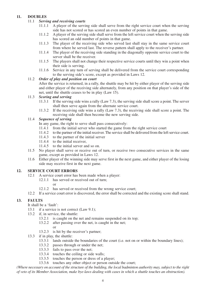#### **11. DOUBLES**

#### 11.1 *Serving and receiving courts*

- 11.1.1 A player of the serving side shall serve from the right service court when the serving side has not scored or has scored an even number of points in that game.
- 11.1.2 A player of the serving side shall serve from the left service court when the serving side has scored an odd number of points in that game.
- 11.1.3 The player of the receiving side who served last shall stay in the same service court from where he served last. The reverse pattern shall apply to the receiver's partner.
- 11.1.4 The player of the receiving side standing in the diagonally opposite service court to the server shall be the receiver.
- 11.1.5 The players shall not change their respective service courts until they win a point when their side is serving.
- 11.1.6 Service in any turn of serving shall be delivered from the service court corresponding to the serving side's score, except as provided in Laws 12.

#### 11.2 *Order of play and position on court*

After the service is returned, in a rally, the shuttle may be hit by either player of the serving side and either player of the receiving side alternately, from any position on that player's side of the net, until the shuttle ceases to be in play (Law 15).

#### 11.3 *Scoring and serving*

- 11.3.1 If the serving side wins a rally (Law 7.3), the serving side shall score a point. The server shall then serve again from the alternate service court.
- 11.3.2 If the receiving side wins a rally (Law 7.3), the receiving side shall score a point. The receiving side shall then become the new serving side.

#### 11.4 *Sequence of serving*

In any game, the right to serve shall pass consecutively:

- 11.4.1 from the initial server who started the game from the right service court
- 11.4.2 to the partner of the initial receiver. The service shall be delivered from the left service court.
- 11.4.3 to the partner of the initial server
- 11.4.4 to the initial receiver
- 11.4.5 to the initial server and so on.
- 11.5 No player shall serve or receive out of turn, or receive two consecutive services in the same game, except as provided in Laws 12.
- 11.6 Either player of the winning side may serve first in the next game, and either player of the losing side may receive first in the next game.

### **12. SERVICE COURT ERRORS**

- 12.1 A service court error has been made when a player:
	- 12.1.1 has served or received out of turn:
		- or
			-
- 12.1.2 has served or received from the wrong service court; 12.2 If a service court error is discovered, the error shall be corrected and the existing score shall stand.

#### **13. FAULTS**

- It shall be a 'fault':
- 13.1 if a service is not correct (Law 9.1);
- 13.2 if, in service, the shuttle:
	- 13.2.1 is caught on the net and remains suspended on its top;
	- 13.2.2 after passing over the net, is caught in the net;
		- or
	- 13.2.3 is hit by the receiver's partner;
- 13.3 if in play, the shuttle:
	- 13.3.1 lands outside the boundaries of the court (i.e. not on or within the boundary lines);
	- 13.3.2 passes through or under the net;
	- 13.3.3 fails to pass over the net;
	- 13.3.4 touches the ceiling or side walls;
	- 13.3.5 touches the person or dress of a player;
	- 13.3.6 touches any other object or person outside the court;

*(Where necessary on account of the structure of the building, the local badminton authority may, subject to the right of veto of its Member Association, make bye-laws dealing with cases in which a shuttle touches an obstruction).*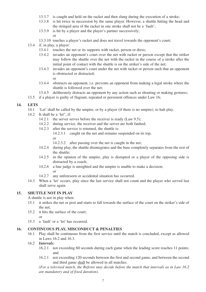- 13.3.7 is caught and held on the racket and then slung during the execution of a stroke;
- 13.3.8 is hit twice in succession by the same player. However, a shuttle hitting the head and the stringed area of the racket in one stroke shall not be a 'fault';
- 13.3.9 is hit by a player and the player's partner successively;
- 13.3.10 touches a player's racket and does not travel towards the opponent's court;
- 13.4 if, in play, a player:

or

- 13.4.1 touches the net or its supports with racket, person or dress;
- 13.4.2 invades an opponent's court over the net with racket or person except that the striker may follow the shuttle over the net with the racket in the course of a stroke after the initial point of contact with the shuttle is on the striker's side of the net;
- 13.4.3 invades an opponent's court under the net with racket or person such that an opponent is obstructed or distracted;
- or
- 13.4.4 obstructs an opponent, i.e. prevents an opponent from making a legal stroke where the shuttle is followed over the net;
- 13.4.5 deliberately distracts an opponent by any action such as shouting or making gestures;
- 13.5 if a player is guilty of flagrant, repeated or persistent offences under Law 16;

#### **14. LETS**

- 14.1 'Let' shall be called by the umpire, or by a player (if there is no umpire), to halt play.
- 14.2 It shall be a 'let", if:
	- 14.2.1 the server serves before the receiver is ready (Law 9.5);
	- 14.2.2 during service, the receiver and the server are both faulted;
	- 14.2.3 after the service is returned, the shuttle is:
		- 14.2.3.1 caught on the net and remains suspended on its top, or

14.2.3.2 after passing over the net is caught in the net;

- 14.2.4 during play, the shuttle disintegrates and the base completely separates from the rest of the shuttle;
- 14.2.5 in the opinion of the umpire, play is disrupted or a player of the opposing side is distracted by a coach;
- 14.2.6 a line judge is unsighted and the umpire is unable to make a decision; or
- 14.2.7 any unforeseen or accidental situation has occurred.
- 14.3 When a 'let' occurs, play since the last service shall not count and the player who served last shall serve again.

# **15. SHUTTLE NOT IN PLAY**

A shuttle is not in play when:

- 15.1 it strikes the net or post and starts to fall towards the surface of the court on the striker's side of the net;
- 15.2 it hits the surface of the court; or
- 15.3 a 'fault' or a 'let' has occurred.

# **16. CONTINUOUS PLAY, MISCONDUCT & PENALTIES**

- 16.1 Play shall be continuous from the first service until the match is concluded, except as allowed in Laws 16.2 and 16.3.
- 16.2 *Intervals:*
	- 16.2.1 not exceeding 60 seconds during each game when the leading score reaches 11 points; and
	- 16.2.1 not exceeding 120 seconds between the first and second game, and between the second and third game shall be allowed in all matches.

*(For a televised match, the Referee may decide before the match that intervals as in Law 16.2 are mandatory and of fixed duration).*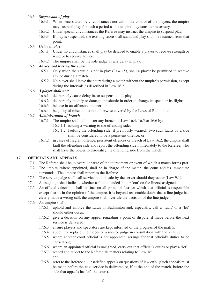### 16.3 *Suspension of play*

- 16.3.1 When necessitated by circumstances not within the control of the players, the umpire may suspend play for such a period as the umpire may consider necessary.
- 16.3.2 Under special circumstances the Referee may instruct the umpire to suspend play.
- 16.3.3 If play is suspended, the existing score shall stand and play shall be resumed from that point.

# 16.4 *Delay in play*

- 16.4.1 Under no circumstances shall play be delayed to enable a player to recover strength or wind or to receive advice.
- 16.4.2 The umpire shall be the sole judge of any delay in play.

#### 16.5 *Advice and leaving the court*

- 16.5.1 Only when the shuttle is not in play (Law 15), shall a player be permitted to receive advice during a match.
- 16.5.2 No player shall leave the court during a match without the umpire's permission, except during the intervals as described in Law 16.2.

# 16.6 *A player shall not:*

- 16.6.1 deliberately cause delay in, or suspension of, play;
- 16.6.2 deliberately modify or damage the shuttle in order to change its speed or its flight;
- 16.6.3 behave in an offensive manner; or
- 16.6.4 be guilty of misconduct not otherwise covered by the Laws of Badminton.

### 16.7 *Administration of breach*

- 16.7.1 The umpire shall administer any breach of Law 16.4, 16.5 or 16.6 by:
	- 16.7.1.1 issuing a warning to the offending side;
	- 16.7.1.2 faulting the offending side, if previously warned. Two such faults by a side shall be considered to be a persistent offence; or
- 16.7.2 in cases of flagrant offence, persistent offences or breach of Law 16.2, the umpire shall fault the offending side and report the offending side immediately to the Referee, who shall have the power to disqualify the offending side from the match.

# **17. OFFICIALS AND APPEALS**

- 17.1 The Referee shall be in overall charge of the tournament or event of which a match forms part.
- 17.2 The umpire, where appointed, shall be in charge of the match, the court and its immediate surrounds. The umpire shall report to the Referee.
- 17.3 The service judge shall call service faults made by the server should they occur (Law 9.1).
- 17.4 A line judge shall indicate whether a shuttle landed 'in' or 'out' on the line(s) assigned.
- 17.5 An official's decision shall be final on all points of fact for which that official is responsible except that if, in the opinion of the umpire, it is beyond reasonable doubt that a line judge has clearly made a wrong call, the umpire shall overrule the decision of the line judge.
- 17.6 An umpire shall:
	- 17.6.1 uphold and enforce the Laws of Badminton and, especially, call a 'fault' or a 'let' should either occur;
	- 17.6.2 give a decision on any appeal regarding a point of dispute, if made before the next service is delivered;
	- 17.6.3 ensure players and spectators are kept informed of the progress of the match;
	- 17.6.4 appoint or replace line judges or a service judge in consultation with the Referee;
	- 17.6.5 where another court official is not appointed, arrange for that official's duties to be carried out;
	- 17.6.6 where an appointed official is unsighted, carry out that official's duties or play a 'let';
	- 17.6.7 record and report to the Referee all matters relating to Law 16; and
	- 17.6.8 refer to the Referee all unsatisfied appeals on questions of law only. (Such appeals must be made before the next service is delivered or, if at the end of the match, before the side that appeals has left the court).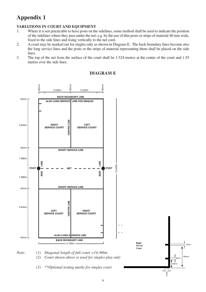# **Appendix 1**

# **VARIATIONS IN COURT AND EQUIPMENT**

- 1. Where it is not practicable to have posts on the sidelines, some method shall be used to indicate the position of the sidelines where they pass under the net, e.g. by the use of thin posts or strips of material 40 mm wide, fixed to the side lines and rising vertically to the net cord.
- 2. A court may be marked out for singles only as shown in Diagram E. The back boundary lines become also the long service lines and the posts or the strips of material representing them shall be placed on the side lines.
- 3. The top of the net from the surface of the court shall be 1.524 metres at the centre of the court and 1.55 metres over the side lines.



# **DIAGRAM E**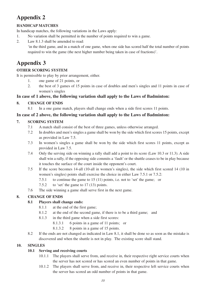# **Appendix 2**

# **HANDICAP MATCHES**

In handicap matches, the following variations in the Laws apply:

- 1. No variation shall be permitted in the number of points required to win a game.
- 2. Law 8.1.3 shall be amended to read:

'in the third game, and in a match of one game, when one side has scored half the total number of points required to win the game (the next higher number being taken in case of fractions)'.

# **Appendix 3**

# **OTHER SCORING SYSTEM**

It is permissible to play by prior arrangement, either.

- 1. one game of 21 points, or
- 2. the best of 3 games of 15 points in case of doubles and men's singles and 11 points in case of women's singles

# **In case of 1 above, the following variation shall apply to the Laws of Badminton:**

# **8. CHANGE OF ENDS**

8.1 In a one game match, players shall change ends when a side first scores 11 points.

# **In case of 2 above, the following variation shall apply to the Laws of Badminton:**

# **7. SCORING SYSTEM**

- 7.1 A match shall consist of the best of three games, unless otherwise arranged.
- 7.2 In doubles and men's singles a game shall be won by the side which first scores 15 points, except as provided in Law 7.5.
- 7.3 In women's singles a game shall be won by the side which first scores 11 points, except as provided in Law 7.5.
- 7.4 Only the serving side on winning a rally shall add a point to its score (Law 10.3 or 11.3). A side shall win a rally, if the opposing side commits a 'fault' or the shuttle ceases to be in play because it touches the surface of the court inside the opponent's court.
- 7.5 If the score becomes 14-all (10-all in women's singles), the side which first scored 14 (10 in women's singles) points shall exercise the choice in either Law 7.5.1 or 7.5.2:
	- 7.5.1 to continue the game to 15 (11) points, i.e. not to 'set' the game; or
	- 7.5.2 to 'set' the game to 17 (13) points.
- 7.6 The side winning a game shall serve first in the next game.

# **8. CHANGE OF ENDS**

# **8.1 Players shall change ends:**

- 8.1.1 at the end of the first game;
- 8.1.2 at the end of the second game, if there is to be a third game; and
- 8.1.3 in the third game when a side first scores:
	- 8.1.3.1 6 points in a game of 11 points; or
	- 8.1.3.2 8 points in a game of 15 points.
- 8.2 If the ends are not changed as indicated in Law 8.1, it shall be done so as soon as the mistake is discovered and when the shuttle is not in play. The existing score shall stand.

# **10. SINGLES**

# **10.1 Serving and receiving courts**

- 10.1.1 The players shall serve from, and receive in, their respective right service courts when the server has not scored or has scored an even number of points in that game.
- 10.1.2 The players shall serve from, and receive in, their respective left service courts when the server has scored an odd number of points in that game.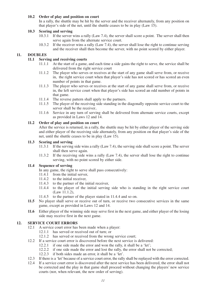#### **10.2 Order of play and position on court**

In a rally, the shuttle may be hit by the server and the receiver alternately, from any position on that player's side of the net, until the shuttle ceases to be in play (Law 15).

#### **10.3 Scoring and serving**

- 10.3.1 If the server wins a rally (Law 7.4), the server shall score a point. The server shall then serve again from the alternate service court.
- 10.3.2 If the receiver wins a rally (Law 7.4), the server shall lose the right to continue serving and the receiver shall then become the server, with no point scored by either player.

### **11. DOUBLES**

# **11.1 Serving and receiving courts**

- $11.1.1$  At the start of a game, and each time a side gains the right to serve, the service shall be delivered from the right service court
- 11.1.2 The player who serves or receives at the start of any game shall serve from, or receive in, the right service court when that player's side has not scored or has scored an even number of points in that game.
- 11.1.3 The player who serves or receives at the start of any game shall serve from, or receive in, the left service court when that player's side has scored an odd number of points in that game.
- 11.1.4 The reverse pattern shall apply to the partners.
- 11.1.5 The player of the receiving side standing in the diagonally opposite service court to the server shall be the receiver..
- 11.1.6 Service in any turn of serving shall be delivered from alternate service courts, except as provided in Laws 12 and 14.

#### **11.2 Order of play and position on court**

After the service is returned, in a rally, the shuttle may be hit by either player of the serving side and either player of the receiving side alternately, from any position on that player's side of the net, until the shuttle ceases to be in play (Law 15).

#### **11.3 Scoring and serving**

- 11.3.1 If the serving side wins a rally (Law 7.4), the serving side shall score a point. The server shall then serve again.
- 11.3.2 If the receiving side wins a rally (Law 7.4), the server shall lose the right to continue serving, with no point scored by either side.

#### **11.4 Sequence of serving**

- In any game, the right to serve shall pass consecutively:
- 11.4.1 from the initial server,
- 11.4.2 to the initial receiver,
- 11.4.3 to the partner of the initial receiver,
- 11.4.4 to the player of the initial serving side who is standing in the right service court (Law 11.1.2),
- 11.4.5 to the partner of the player stated in 11.4.4 and so on.
- **11.5** No player shall serve or receive out of turn, or receive two consecutive services in the same game, except as provided in Laws 12 and 14.
- **11.6** Either player of the winning side may serve first in the next game, and either player of the losing side may receive first in the next game.

#### **12. SERVICE COURT ERRORS**

- 12.1 A service court error has been made when a player:
	- 12.1.1 has served or received out of turn; or
	- 12.1.2 has served or received from the wrong service court;
- 12.2 If a service court error is discovered before the next service is delivered:
	- 12.2.1 if one side made the error and won the rally, it shall be a 'let';
	- 12.2.2 if one side made the error and lost the rally, the error shall not be corrected;
	- 12.2.3 if both sides made an error, it shall be a 'let'.
- 12.3 If there is a 'let' because of a service court error, the rally shall be replayed with the error corrected.
- 12.4 If a service court error is discovered after the next service has been delivered, the error shall not be corrected and the play in that game shall proceed without changing the players' new service courts (nor, when relevant, the new order of serving).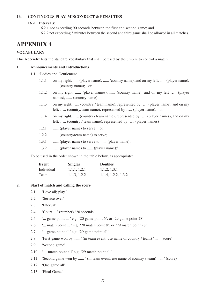#### **16. CONTINUOUS PLAY, MISCONDUCT & PENALTIES**

#### **16.2 Intervals:**

16.2.1 not exceeding 90 seconds between the first and second game; and 16.2.2 not exceeding 5 minutes between the second and third game shall be allowed in all matches.

# **APPENDIX 4**

#### **VOCABULARY**

This Appendix lists the standard vocabulary that shall be used by the umpire to control a match.

#### **1. Announcements and Introductions**

- 1.1 'Ladies and Gentlemen:
	- 1.1.1 on my right, ...... (player name), ...... (country name), and on my left, ...... (player name), ...... (country name); or
	- 1.1.2 on my right, ...... (player names), ...... (country name), and on my left ….. (player names), ...... (country name)
	- 1.1.3 on my right, ….. (country / team name), represented by ….. (player name), and on my left, ….. (country/team name), represented by ….. (player name); or
	- 1.1.4 on my right, ….. (country / team name), represented by ….. (player names), and on my left, ….. (country / team name), represented by ….. (player names)
	- 1.2.1 ....... (player name) to serve; or
	- 1.2.2 ...... (country/team name) to serve;
	- 1.3.1 ...... (player name) to serve to ...... (player name);
	- 1.3.2 ...... (player name) to ...... (player name);'

To be used in the order shown in the table below, as appropriate:

| Event      | <b>Singles</b> | <b>Doubles</b>      |
|------------|----------------|---------------------|
| Individual | 1.1.1, 1.2.1   | 1.1.2, 1.3.1        |
| Team       | 1.1.3. 1.2.2   | 1.1.4, 1.2.2, 1.3.2 |

#### **2. Start of match and calling the score**

- 2.1 'Love all; play.'
- 2.2 'Service over'
- 2.3 'Interval'
- 2.4 'Court ... ' (number) '20 seconds'
- 2.5 '... game point ... ' e.g. '20 game point 6', or '29 game point 28'
- 2.6 '... match point ... ' e.g. '20 match point 8', or '29 match point 28'
- 2.7 '... game point all' e.g. '29 game point all'
- 2.8 'First game won by ...... ' (in team event, use name of country / team) ' ... ' (score)
- 2.9 'Second game'
- 2.10 '… match point all' e.g. '29 match point all'
- 2.11 'Second game won by ...... ' (in team event, use name of country / team) ' ... ' (score)
- 2.12 'One game all'
- 2.13 'Final Game'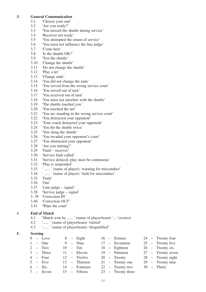#### **3. General Communication**

- 3.1 'Choose your end'<br>3.2 'Are you ready?'
- 3.2 'Are you ready?'<br>3.3 'You missed the s
- 3.3 'You missed the shuttle during service'
- 3.4 **'Receiver not ready'**<br>3.5 **'You attempted the r**
- 3.5 'You attempted the return of service'<br>3.6 'You must not influence the line judg
- 3.6 'You must not influence the line judge'
- 3.7 'Come here'<br>3.8 'Is the shuttle
- 3.8 'Is the shuttle OK?'<br>3.9 'Test the shuttle'
- 'Test the shuttle'
- 3.10 'Change the shuttle'<br>3.11 'Do not change the s
- 3.11 'Do not change the shuttle'
- 3.12 'Play a let'
- 3.13 'Change ends'
- 3.14 'You did not change the ends'<br>3.15 'You served from the wrong s
- 3.15 'You served from the wrong service court'
- 3.16 'You served out of turn'
- 3.17 'You received out of turn'
- 3.18 'You must not interfere with the shuttle'
- 3.19 'The shuttle touched you'
- 3.20 You touched the net'<br>3.21 You are standing in t
- 3.21 'You are standing in the wrong service court'
- 3.22 'You distracted your opponent'<br>3.23 'Your coach distracted your opp
- 3.23 'Your coach distracted your opponent'
- 3.24 'You hit the shuttle twice'<br>3.25 'You slung the shuttle'
- 3.25 'You slung the shuttle'
- 3.26 'You invaded your opponent's court'
- 3.27 'You obstructed your opponent'
- 3.28 'Are you retiring?'
- 3.29 'Fault receiver'
- 3.30 'Service fault called'
- 3.31 'Service delayed, play must be continuous'
- 3.32 'Play is suspended'<br>3.33 '...... ' (name of play
- <sup>4</sup> ...... ' (name of player) 'warning for misconduct'
- 3.34 ' ...... ' (name of player) 'fault for misconduct'
- 3.35 'Fault'
- 3.36 'Out'
- 3.37 'Line judge signal'
- 3.38 'Service judge signal'
- 3. 39 'Correction IN'
- 3.40 'Correction OUT'
- 3.41 'Wipe the court'

#### 4. **End of Match**

- 4.1 'Match won by ...... ' (name of player/team) '...' (scores)
- 4.2 '...... ' (name of player/team) 'retired'
- 4.3 '...... ' (name of player/team) 'disqualified'

#### **5. Scoring**

|  | $0 - \text{Love}$ |  | $8 -$ Eight       |  | 16 – Sixteen      |  | 24 – Twenty four   |
|--|-------------------|--|-------------------|--|-------------------|--|--------------------|
|  | $1 -$ One         |  | $9 - Nine$        |  | 17 - Seventeen    |  | $25$ – Twenty five |
|  | $2 - Two$         |  | $10 - \text{Ten}$ |  | 18 - Eighteen     |  | $26$ – Twenty six  |
|  | $3 -$ Three       |  | $11 -$ Eleven     |  | 19 - Nineteen     |  | 27 - Twenty seven  |
|  | $4 - Four$        |  | $12 -$ Twelve     |  | $20 -$ Twenty     |  | 28 – Twenty eight  |
|  | $5 -$ Five        |  | 13 - Thirteen     |  | $21 -$ Twenty one |  | $29 -$ Twenty nine |
|  | $6 - Six$         |  | 14 – Fourteen     |  | $22 -$ Twenty two |  | $30 -$ Thirty      |
|  | 7 – Seven         |  | 15 – Fifteen      |  | 23 – Twenty three |  |                    |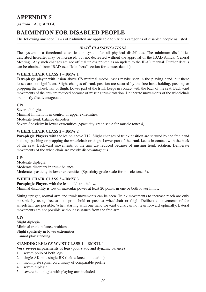# **APPENDIX 5**

(as from 1 August 2004)

# **BADMINTON FOR DISABLED PEOPLE**

The following amended Laws of badminton are applicable to various categories of disabled people as listed.

# *IBAD\* CLASSIFICATIONS*

The system is a functional classification system for all physical disabilities. The minimum disabilities described hereafter may be increased, but not decreased without the approval of the IBAD Annual General Meeting. Any such changes are not official unless printed as an update to the IBAD manual. Further details can be obtained from IBAD (see "Members" section for contact details).

# **WHEELCHAIR CLASS 1 – BMW 1**

**Tetraplegic** player with lesion above C8 minimal motor losses maybe seen in the playing hand, but these losses are not significant. Slight changes of trunk position are secured by the free hand holding, pushing or propping the wheelchair or thigh. Lower part of the trunk keeps in contact with the back of the seat. Backward movements of the arm are reduced because of missing trunk rotation. Deliberate movements of the wheelchair are mostly disadvantageous.

**CPs**:

Severe diplegia. Minimal limitations in control of upper extremities. Moderate trunk balance disorders. Severe Spasticity in lower extremities (Spasticity grade scale for muscle tone: 4).

# **WHEELCHAIR CLASS 2 – BMW 2**

**Paraplegic Players** with the lesion above T12. Slight changes of trunk position are secured by the free hand holding, pushing or propping the wheelchair or thigh. Lower part of the trunk keeps in contact with the back of the seat. Backward movements of the arm are reduced because of missing trunk rotation. Deliberate movements of the wheelchair are mostly disadvantageous.

#### **CPs**:

Moderate diplegia. Moderate disorders in trunk balance. Moderate spasticity in lower extremities (Spasticity grade scale for muscle tone: 3).

# **WHEELCHAIR CLASS 3 – BMW 3**

**Paraplegic Players** with the lesion L1 and below.

Minimal disability is lost of muscular power at least 20 points in one or both lower limbs.

Sitting upright, normal arm and trunk movements can be seen. Trunk movements to increase reach are only possible by using free arm to prop, hold or push at wheelchair or thigh. Deliberate movements of the wheelchair are possible. When starting with one hand forward trunk can not lean forward optimally. Lateral movements are not possible without assistance from the free arm.

**CPs**:

Slight diplegia. Minimal trunk balance problems. Slight spasticity in lower extremities. Cannot play standing.

# **STANDING BELOW WAIST CLASS 1 – BMSTL 1**

**Very severe impairments of legs** (poor static and dynamic balance)

1. severe polio of both legs

- 2. single AK plus single BK (below knee amputation)
- 3. incomplete spinal cord injury of comparable profile
- 4. severe diplegia
- 5. severe hemiplegia with playing arm included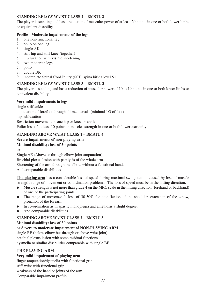# **STANDING BELOW WAIST CLASS 2 – BMSTL 2**

The player is standing and has a reduction of muscular power of at least 20 points in one or both lower limbs or equivalent disability.

### **Profile - Moderate impairments of the legs**

- 1. one non-functional leg
- 2. polio on one leg
- 3. single AK
- 4. stiff hip and stiff knee (together)
- 5. hip luxation with visible shortening
- 6. two moderate legs
- 7. polio
- 8. double BK
- 9. incomplete Spinal Cord Injury (SCI), spina bifida level S1

# **STANDING BELOW WAIST CLASS 3 – BMSTL 3**

The player is standing and has a reduction of muscular power of 10 to 19 points in one or both lower limbs or equivalent disability.

# **Very mild impairments in legs**

single stiff ankle amputation of forefoot through all metatarsals (minimal 1/3 of foot) hip subluxation Restriction movement of one hip or knee or ankle Polio: loss of at least 10 points in muscles strength in one or both lower extremity

# **STANDING ABOVE WAIST CLASS 1 – BMSTU 4**

#### **Severe impairments of non-playing arm Minimal disability: loss of 50 points**

**or**

Single AE (Above or through elbow joint amputation) Brachial plexus lesion with paralysis of the whole arm Shortening of the arm through the elbow without a functional hand. And comparable disabilities

**The playing arm** has a considerable loss of speed during maximal swing action; caused by loss of muscle strength, range of movement or co-ordination problems. The loss of speed must be in the hitting direction.

- Muscle strength is not more than grade 4 on the MRC scale in the hitting direction (forehand or backhand) of one of the participating joints
- The range of movement's loss of 30-50% for ante-flexion of the shoulder, extension of the elbow, pronation of the forearm.
- In co-ordination as in spastic monoplegia and athethosis a slight degree.
- And comparable disabilities.

# **STANDING ABOVE WAIST CLASS 2 – BMSTU 5**

**Minimal disability: loss of 30 points**

# **or Severe to moderate impairment of NON-PLAYING ARM**

single BE (below elbow but through or above wrist joint) brachial plexus lesion with some residual functions dysmelia or similar disabilities comparable with single BE

# **THE PLAYING ARM**

# **Very mild impairment of playing arm**

finger amputation/dysmelia with functional grip

stiff wrist with functional grip

weakness of the hand or joints of the arm Comparable impairment profile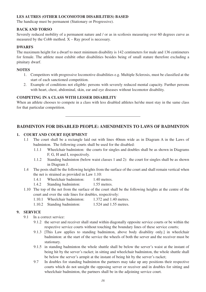#### **LES AUTRES (OTHER LOCOMOTOR DISABILITIES) BASED**

The handicap must be permanent (Stationary or Progressive).

#### **BACK AND TORSO**

Severely reduced mobility of a permanent nature and / or as in scoliosis measuring over 60 degrees curve as measured by the Cobb method.  $X - Ray$  proof is necessary.

#### **DWARFS**

The maximum height for a dwarf to meet minimum disability is 142 centimeters for male and 136 centimeters for female. The athlete must exhibit other disabilities besides being of small stature therefore excluding a pituitary dwarf.

#### **NOTES**

- 1. Competitors with progressive locomotive disabilities e.g. Multiple Sclerosis, must be classified at the start of each sanctioned competition.
- 2. Example of conditions not eligible: persons with severely reduced mental capacity. Further persons with heart, chest, abdominal, skin, ear and eye diseases without locomotor disability.

#### **COMPETING IN A CLASS WITH LESSER DISABILITY**

When an athlete chooses to compete in a class with less disabled athletes he/she must stay in the same class for that particular competition.

# **BADMINTON FOR DISABLED PEOPLE: AMENDMENTS TO LAWS OF BADMINTON**

#### **1. COURT AND COURT EQUIPMENT**

- 1.1 The court shall be a rectangle laid out with lines 40mm wide as in Diagram A in the Laws of badminton. The following courts shall be used for the disabled:
	- 1.1.1 Wheelchair badminton: the courts for singles and doubles shall be as shown in Diagrams F, G, H and I, respectively.
	- 1.1.2 Standing badminton (below waist classes 1 and 2): the court for singles shall be as shown in Diagram J.
- 1.4 The posts shall be the following heights from the surface of the court and shall remain vertical when the net is strained as provided in Law 1.10:
	- 1.4.1 Wheelchair badminton: 1.40 metres.
	- 1.4.2 Standing badminton: 1.55 metres.
- 1.10 The top of the net from the surface of the court shall be the following heights at the centre of the court and over the side lines for doubles, respectively:
	- 1.10.1 Wheelchair badminton: 1.372 and 1.40 metres.
	- 1.10.2 Standing badminton: 1.524 and 1.55 metres.

#### **9. SERVICE**

- 9.1 In a correct service:
	- 9.1.2 the server and receiver shall stand within diagonally opposite service courts or be within the respective service courts without touching the boundary lines of these service courts;
	- 9.1.3 [This Law applies to standing badminton, above body disability only.] in wheelchair badminton: at the start of the service the wheels of both the server and the receiver must be stationary.
	- 9.1.5 in standing badminton the whole shuttle shall be below the server's waist at the instant of being hit by the server's racket; in sitting and wheelchair badminton, the whole shuttle shall be below the server's armpit at the instant of being hit by the server's racket;
	- 9.7 In doubles for standing badminton the partners may take up any positions their respective courts which do not unsight the opposing server or receiver and in doubles for sitting and wheelchair badminton, the partners shall be in the adjoining service court.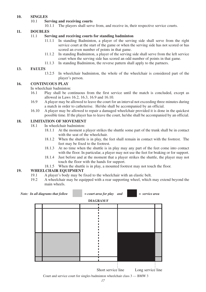# **10. SINGLES**

#### **Serving and receiving courts**

10.1.1 The players shall serve from, and receive in, their respective service courts.

#### **11. DOUBLES**

#### 11.1 **Serving and receiving courts for standing badminton**

- 11.1.1 In standing Badminton, a player of the serving side shall serve from the right service court at the start of the game or when the serving side has not scored or has scored an even number of points in that game.
- 11.1.2 In standing Badminton, a player of the serving side shall serve from the left service court when the serving side has scored an odd number of points in that game.
- 11.1.3 In standing Badminton, the reverse pattern shall apply to the partners.

#### **13. FAULTS**

13.2.5 In wheelchair badminton, the whole of the wheelchair is considered part of the player's person.

# **16. CONTINUOUS PLAY**

In wheelchair badminton:

- 16.1 Play shall be continuous from the first service until the match is concluded, except as allowed in Laws 16.2, 16.3, 16.9 and 16.10.
- 16.9 A player may be allowed to leave the court for an interval not exceeding three minutes during a match in order to catheterise. He/she shall be accompanied by an official.
- 16.10 A player may be allowed to repair a damaged wheelchair provided it is done in the quickest possible time. If the player has to leave the court, he/she shall be accompanied by an official.

#### **18. LIMITATION OF MOVEMENT**

- 18.1 In wheelchair badminton:
	- 18.1.1 At the moment a player strikes the shuttle some part of the trunk shall be in contact with the seat of the wheelchair.
	- 18.1.2 When the shuttle is in play, the feet shall remain in contact with the footrest. The feet may be fixed to the footrest.
	- 18.1.3 At no time when the shuttle is in play may any part of the feet come into contact with the floor. In particular, a player may not use the feet for braking or for support.
	- 18.1.4 Just before and at the moment that a player strikes the shuttle, the player may not touch the floor with the hands for support.
	- 18.1.5 When the shuttle is in play, a mounted footrest may not touch the floor.

#### **19. WHEELCHAIR EQUIPMENT**

- 19.1 A player's body may be fixed to the wheelchair with an elastic belt.<br>19.2 A wheelchair may be equipped with a rear supporting wheel, which
- 19.2 A wheelchair may be equipped with a rear supporting wheel, which may extend beyond the main wheels.



Court and service court for singles badminton wheelchair class 3 — BMW 3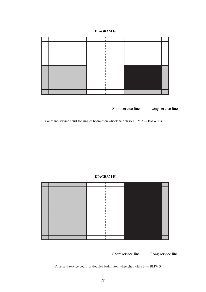# **DIAGRAM G**



Court and service court for singles badminton wheelchair classes 1 & 2 — BMW 1 & 2

#### **DIAGRAM H**



Court and service court for doubles badminton wheelchair class 3 — BMW 3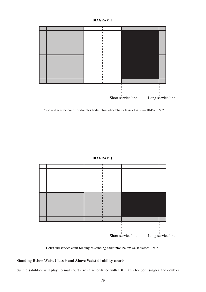#### **DIAGRAM I**



Court and service court for doubles badminton wheelchair classes 1 & 2 — BMW 1 & 2

#### **DIAGRAM J**



Court and service court for singles standing badminton below waist classes 1 & 2

# **Standing Below Waist Class 3 and Above Waist disability courts**

Such disabilities will play normal court size in accordance with IBF Laws for both singles and doubles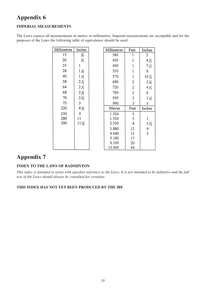# **Appendix 6**

# **IMPERIAL MEASUREMENTS**

The Laws express all measurements in metres or millimetres. Imperial measurements are acceptable and for the purposes of the Laws the following table of equivalence should be used:

| Millimetres | Inches          | Millimetres | Feet           | Inches          |
|-------------|-----------------|-------------|----------------|-----------------|
| 15          | $\frac{5}{8}$   | 380         | 1              | 3               |
| 20          | ¾               | 420         |                | $4\frac{1}{2}$  |
| 25          | ı               | 490         |                | $7\frac{1}{2}$  |
| 28          | $1\frac{1}{8}$  | 530         |                | 9               |
| 40          | $1\frac{1}{2}$  | 570         | 1              | $10\frac{1}{2}$ |
| 58          | $2\frac{1}{4}$  | 680         | $\overline{2}$ | $2\frac{3}{4}$  |
| 64          | $2\frac{1}{2}$  | 720         | 2              | $4\frac{1}{2}$  |
| 68          | $2\frac{5}{8}$  | 760         | $\mathbf{2}$   | 6               |
| 70          | $2\frac{3}{4}$  | 950         | 3              | 1 ½             |
| 75          | 3               | 990         | 3              | 3               |
| 220         | $8\frac{5}{8}$  | Metres      | Feet           | Inches          |
| 230         | 9               | 1.524       | 5              |                 |
| 280         | 11              | 1.550       | 5              | 1               |
| 290         | $11\frac{3}{8}$ | 2.530       | 8              | $3\frac{3}{4}$  |
|             |                 | 3.880       | 12             | 9               |
|             |                 | 4.640       | 15             | 3               |
|             |                 | 5.180       | 17             |                 |
|             |                 | 6.100       | 20             |                 |
|             |                 | 13.400      | 44             |                 |

# **Appendix 7**

# **INDEX TO THE LAWS OF BADMINTON**

*This index is intended to assist with speedier reference to the Laws. It is not intended to be definitive and the full text of the Laws should always be consulted for certainty.*

#### **THIS INDEX HAS NOT YET BEEN PRODUCED BY THE IBF**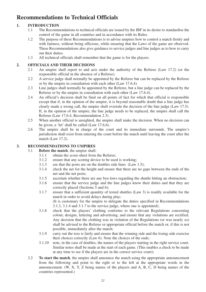# **Recommendations to Technical Officials**

# **1. INTRODUCTION**

- 1.1 The Recommendations to technical officials are issued by the IBF in its desire to standardise the control of the game in all countries and in accordance with its Rules.
- 1.2 The purpose of these Recommendations is to advise umpires how to control a match firmly and with fairness, without being officious, while ensuring that the Laws of the game are observed. These Recommendations also give guidance to service judges and line judges as to how to carry out their duties.
- 1.3 All technical officials shall remember that the game is for the players.

# **2. OFFICIALS AND THEIR DECISIONS**

- 2.1 An umpire shall report to and acts under the authority of the Referee (Law 17.2) (or the responsible official in the absence of a Referee).
- 2.2 A service judge shall normally be appointed by the Referee but can be replaced by the Referee or by the umpire in consultation with each other (Law 17.6.4).
- 2.3 Line judges shall normally be appointed by the Referee, but a line judge can be replaced by the Referee or by the umpire in consultation with each other (Law 17.6.4).
- 2.4 An official's decision shall be final on all points of fact for which that official is responsible except that if, in the opinion of the umpire, it is beyond reasonable doubt that a line judge has clearly made a wrong call, the umpire shall overrule the decision of the line judge (Law 17.5). If, in the opinion of the umpire, the line judge needs to be replaced, the umpire shall call the Referee (Law 17.6.4, Recommendation 2.3).
- 2.5 When another official is unsighted, the umpire shall make the decision. When no decision can be given, a 'let' shall be called (Law 17.6.6).
- 2.6 The umpire shall be in charge of the court and its immediate surrounds. The umpire's jurisdiction shall exist from entering the court before the match until leaving the court after the match (Law 17.2).

# **3. RECOMMENDATIONS TO UMPIRES**

- 3.1 **Before the match**, the umpire shall:
	- 3.1.1 obtain the score-sheet from the Referee;
	- 3.1.2 ensure that any scoring device to be used is working;<br>3.1.3 see that the posts are on the doubles side lines (Law
	- 3.1.3 see that the posts are on the doubles side lines (Law 1.5);<br>3.1.4 check the net for the height and ensure that there are no  $\sigma$
	- 3.1.4 check the net for the height and ensure that there are no gaps between the ends of the net and the net posts;
	- 3.1.5 ascertain whether there are any bye-laws regarding the shuttle hitting an obstruction;<br>3.1.6 ensure that the service judge and the line judges know their duties and that they are
	- ensure that the service judge and the line judges know their duties and that they are correctly placed (Sections 5 and 6);
	- 3.1.7 ensure that a sufficient quantity of tested shuttles (Law 3) is readily available for the match in order to avoid delays during play; (It is customary for the umpire to delegate the duties specified in Recommendations 3.1.3, 3.1.4 and 3.1.7 to the service judge, where one is appointed);
	- 3.1.8 check that the players' clothing conforms to the relevant Regulations concerning colour, designs, lettering and advertising, and ensure that any violations are rectified. Any decision that the clothing was in violation of the Regulations (or was nearly so) shall be advised to the Referee or appropriate official before the match or, if this is not possible, immediately after the match;
	- 3.1.9 carry out the toss is fairly and ensure that the winning side and the losing side exercise their choices correctly (Law 6). Note the choices of the ends;
	- 3.1.10 note, in the case of doubles, the names of the players starting in the right service court. Similar notes shall be made at the start of each game. (This enables a check to be made at any time to see if the players are in the correct service court);
- 3.2 **To start the match**, the umpire shall announce the match using the appropriate announcement from the following and point to the right or to the left at the appropriate words in the announcement.  $(W, X, Y, Z)$  being names of the players and A, B, C, D being names of the countries represented.)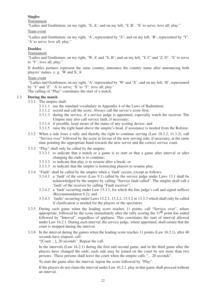#### **Singles**

Tournament

"Ladies and Gentlemen; on my right, 'X, A'; and on my left, 'Y, B'. 'X' to serve; love all; play."

#### Team event

"Ladies and Gentlemen; on my right, 'A', represented by 'X'; and on my left, 'B', represented by 'Y'. 'A' to serve; love all; play."

#### **Doubles**

# Tournament

"Ladies and Gentlemen; on my right, 'W, A' and 'X, B'; and on my left, 'Y, C' and 'Z, D'. 'X' to serve to 'Y'; love all; play."

If doubles partners represent the same country, announce the country name after announcing both players' names. e. g. 'W and X, A'

#### Team event

"Ladies and Gentlemen; on my right, 'A', represented by 'W' and 'X'; and on my left, 'B', represented by 'Y' and 'Z'. 'A' to serve; 'X' to 'Y'; love all; play."

The calling of "Play" constitutes the start of a match.

#### 3.3 **During the match**

- 3.3.1 The umpire shall:
	- 3.3.1.1 use the standard vocabulary in Appendix 4 of the Laws of Badminton;
	- 3.3.1.2 record and call the score. Always call the server's score first;
	- 3.3.1.3 during the service, if a service judge is appointed, especially watch the receiver. The Umpire may also call service fault, if necessary;
	- 3.3.1.4 if possible, keep aware of the status of any scoring device; and
	- 3.3.1.5 raise the right hand above the umpire's head, if assistance is needed from the Referee.
- 3.3.2 When a side loses a rally and thereby the right to continue serving (Law 10.3.2, 11.3.2), call "Service over" followed by the score in favour of the new serving side; if necessary, at the same time pointing the appropriate hand towards the new server and the correct service court.
- 3.3.3 "Play" shall only be called by the umpire:
	- 3.3.3.1 to indicate that a match or a game is to start or that a game after interval or after changing the ends is to continue;
	- 3.3.3.2 to indicate that play is to resume after a break; or
	- 3.3.3.3 to indicate that the umpire is instructing players to resume play.
- 3.3.4 "Fault" shall be called by the umpire when a 'fault' occurs, except as follows:
	- 3.3.4.1 a 'fault' of the server (Law 9.1) called by the service judge under Laws 13.1 shall be acknowledged by the umpire by calling "Service fault called". The umpire shall call a 'fault' of the receiver by calling "Fault receiver";
	- 3.3.4.2 a 'fault' occurring under Law 13.3.1, for which the line judge's call and signal suffices (Recommendation 6.2); and
	- 3.3.4.3 'faults' occurring under Laws 13.2.1, 13.2.2, 13.3.2 or 13.3.3 which shall only be called if clarification is needed for the players or the spectators.
- 3.3.5 During each game when the leading score reaches 11 points, call "Service over", where appropriate, followed by the score immediately after the rally scoring the  $11<sup>th</sup>$  point has ended followed by "Interval", regardless of applause. This constitutes the start of interval allowed under Law 16.2.1. During each interval, the service judge, where appointed, shall ensure that the court is mopped during the interval.
- 3.3.6 In the interval during the games when the leading score reaches 11 points (Law 16.2.1), after 40 seconds have elapsed, call:

"[Court ...], 20 seconds". Repeat the call.

In the intervals (Law 16.2.1) during the first and second game, and in the third game after the players have changed the ends, each side may be joined on the court by not more than two persons.. These persons shall leave the court when the umpire calls "... 20 seconds".

To start the game after the interval, repeat the score followed by "Play".

If the players do not claim the interval under Law 16.2.1, play in that game shall proceed without an interval.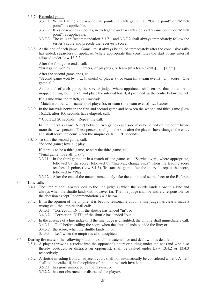#### 3.3.7 Extended game:

- 3.3.7.1 When leading side reaches 20 points, in each game, call "Game point" or "Match point", as applicable.
- 3.3.7.2 If a side reaches 29 points, in each game and for each side, call "Game point" or "Match point", as applicable.
- 3.3.7.3 The calls in Recommendation 3.3.7.1 and 3.3.7.2 shall always immediately follow the server's score and precede the receiver's score.
- 3.3.8 At the end of each game, "Game" must always be called immediately after the conclusive rally has ended, regardless of applause. Where appropriate this constitutes the start of any interval allowed under Law 16.2.2.

After the first game ends, call:

"First game won by  $\ldots$  [name(s) of player(s), or team (in a team event)]  $\ldots$  [score]".

After the second game ends, call:

"Second game won by  $\ldots$  [name(s) of player(s), or team (in a team event)]  $\ldots$  [score]; One game all".

At the end of each game, the service judge, where appointed, shall ensure that the court is mopped during the interval and place the interval board, if provided, at the centre below the net.

If a game wins the match, call instead:

"Match won by  $\ldots$  [name(s) of player(s), or team (in a team event)]  $\ldots$  [scores]".

3.3.9 In the intervals between the first and second game and between the second and third game (Law 16.2.2), after 100 seconds have elapsed, call:

"[Court ...] 20 seconds". Repeat the call.

In the intervals (Law 16.2.2) between two games each side may be joined on the court by no more than two persons. These persons shall join the side after the players have changed the ends, and shall leave the court when the umpire calls "... 20 seconds".

3.3.10 To start the second game, call:

"Second game; love all; play".

If there is to be a third game, to start the third game, call:

"Final game; love all; play".

- 3.3.11 In the third game, or in a match of one game, call "Service over", where appropriate, followed by the score, followed by "Interval; change ends" when the leading score reaches 11 points (Law 8.1.3). To start the game after the interval,, repeat the score, followed by "Play".
- 3.3.12 After the end of the match immediately take the completed score-sheet to the Referee.

#### 3.4 **Line calls**

- 3.4.1 The umpire shall always look to the line judge(s) when the shuttle lands close to a line and always when the shuttle lands out, however far. The line judge shall be entirely responsible for the decision except Recommendation 3.4.2 below.
- 3.4.2 If, in the opinion of the umpire, it is beyond reasonable doubt, a line judge has clearly made a wrong call, the umpire shall call:
	- 3.4.3.1 "Correction, IN", if the shuttle has landed "in"; or
	- 3.4.3.2 "Correction, OUT", if the shuttle has landed "out".
- 3.4.3 In the absence of a line judge or if the line judge is unsighted, the umpire shall immediately call: 3.4.3.1 "Out" before calling the score when the shuttle lands outside the line; or
	- 3.4.3.2 the score, when the shuttle lands in; or
	- 3.4.3.3 "Let" when the umpire is also unsighted.
- 3.5 **During the match**, the following situations shall be watched for and dealt with as detailed.
	- 3.5.1 A player throwing a racket into the opponent's court or sliding under the net (and who also thereby obstructs or distracts an opponent), shall be faulted under Law 13.4.2 or 13.4.3 respectively.
	- 3.5.2 A shuttle invading from an adjacent court shall not automatically be considered a "let". A "let" shall not be called if, in the opinion of the umpire, such invasion:
		- 3.5.2.1 has gone unnoticed by the players; or
		- 3.5.2.2 has not obstructed or distracted the players.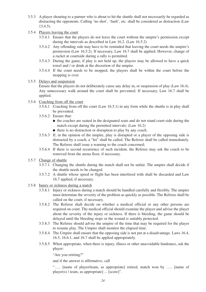- 3.5.3 A player shouting to a partner who is about to hit the shuttle shall not necessarily be regarded as distracting the opponents. Calling 'no shot', 'fault', etc. shall be considered as distraction (Law 13.4.5).
- 3.5.4 Players leaving the court
	- 3.5.4.1 Ensure that the players do not leave the court without the umpire's permission except during the intervals as described in Law 16.2. (Law 16.5.2)
	- 3.5.4.2 Any offending side may have to be reminded that leaving the court needs the umpire's permission (Law 16.5.2). If necessary, Law 16.7 shall be applied. However, change of a racket at courtside during a rally is permitted.
	- 3.5.4.3 During the game, if play is not held up, the players may be allowed to have a quick towel and / or drink at the discretion of the umpire.
	- 3.5.4.4 If the court needs to be mopped, the players shall be within the court before the mopping is over.

#### 3.5.5 Delays and suspension

Ensure that the players do not deliberately cause any delay in, or suspension of play (Law 16.4). Any unnecessary walk around the court shall be prevented. If necessary, Law 16.7 shall be applied.

- 3.5.6 Coaching from off the court
	- 3.5.6.1 Coaching from off the court (Law 16.5.1) in any form while the shuttle is in play shall be prevented.
	- 3.5.6.2 Ensure that:
		- the coaches are seated in the designated seats and do not stand court-side during the match except during the permitted intervals; (Law 16.2)
		- there is no distraction or disruption to play by any coach.
	- 3.5.6.3 If, in the opinion of the umpire, play is disrupted or a player of the opposing side is distracted by a coach, a "let" shall be called. The Referee shall be called immediately. The Referee shall issue a warning to the coach concerned;
	- 3.5.6.4 If there is second recurrence of such incident, the Referee may ask the coach to be removed from the arena floor, if necessary.
- 3.5.7 Change of shuttle
	- 3.5.7.1 Changing the shuttle during the match shall not be unfair. The umpire shall decide if the shuttle needs to be changed.
	- 3.5.7.2 A shuttle whose speed or flight has been interfered with shall be discarded and Law 16.7 applied, if necessary.

#### 3.5.8 Injury or sickness during a match

- 3.5.8.1 Injury or sickness during a match should be handled carefully and flexibly. The umpire must determine the severity of the problem as quickly as possible. The Referee shall be called on the court, if necessary.
- 3.5.8.2 The Referee shall decide on whether a medical official or any other persons are required on court. The medical official should examine the player and advise the player about the severity of the injury or sickness. If there is bleeding, the game should be delayed until the bleeding stops or the wound is suitably protected.
- 3.5.8.3 The Referee should advise the umpire of the time that may be required for the player to resume play. The Umpire shall monitor the elapsed time.
- 3.5.8.4 The Umpire shall ensure that the opposing side is not put at a disadvantage. Laws 16.4, 16.5, 16.6.1, and 16.7 shall be applied appropriately.
- 3.5.8.5 When appropriate, when there is injury, illness or other unavoidable hindrance, ask the player:

"Are you retiring?"

and if the answer is affirmative, call

"….. [name of player/team, as appropriate] retired, match won by ….. [name of player(s) / team, as appropriate] ... [score]".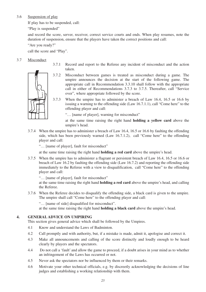#### 3.6 Suspension of play

If play has to be suspended, call:

"Play is suspended"

and record the score, server, receiver, correct service courts and ends. When play resumes, note the duration of suspension, ensure that the players have taken the correct positions and call:

"Are you ready?"

call the score and "Play".

# 3.7 Misconduct



- 3.7.1 Record and report to the Referee any incident of misconduct and the action taken.
- 3.7.2 Misconduct between games is treated as misconduct during a game. The umpire announces the decision at the start of the following game. The appropriate call in Recommendation 3.3.10 shall follow with the appropriate call in either of Recommendations 3.7.3 to 3.7.5. Thereafter, call "Service over", where appropriate followed by the score.
- 3.7.3 When the umpire has to administer a breach of Law 16.4, 16.5 or 16.6 by issuing a warning to the offending side (Law 16.7.1.1), call "Come here" to the offending player and call:

"… [name of player], warning for misconduct"

at the same time raising the right hand **holding a yellow card** above the umpire's head.

3.7.4 When the umpire has to administer a breach of Law 16.4, 16.5 or 16.6 by faulting the offending side, which has been previously warned (Law 16.7.1.2), call "Come here" to the offending player and call:

"… [name of player], fault for misconduct"

at the same time raising the right hand **holding a red card** above the umpire's head.

3.7.5 When the umpire has to administer a flagrant or persistent breach of Law 16.4, 16.5 or 16.6 or breach of Law 16.2 by faulting the offending side (Law 16.7.2) and reporting the offending side immediately to the Referee with a view to disqualification, call "Come here" to the offending player and call:

"… [name of player], fault for misconduct"

at the same time raising the right hand **holding a red card** above the umpire's head, and calling the Referee.

3.7.6 When the Referee decides to disqualify the offending side, a black card is given to the umpire. The umpire shall call "Come here" to the offending player and call:

"… [name of side] disqualified for misconduct".

at the same time raising the right hand **holding a black card** above the umpire's head.

# **4. GENERAL ADVICE ON UMPIRING**

This section gives general advice which shall be followed by the Umpires.

- 4.1 Know and understand the Laws of Badminton.
- 4.2 Call promptly and with authority, but, if a mistake is made, admit it, apologise and correct it.
- 4.3 Make all announcements and calling of the score distinctly and loudly enough to be heard clearly by players and the spectators.
- 4.4 Do not call a 'fault' and allow the game to proceed, if a doubt arises in your mind as to whether an infringement of the Laws has occurred or not.
- 4.5 Never ask the spectators nor be influenced by them or their remarks.
- 4.6 Motivate your other technical officials, e.g. by discreetly acknowledging the decisions of line judges and establishing a working relationship with them.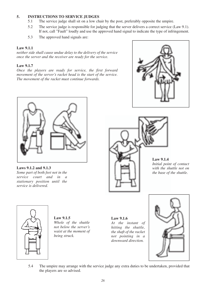# **5. INSTRUCTIONS TO SERVICE JUDGES**

- 5.1 The service judge shall sit on a low chair by the post, preferably opposite the umpire.
- 5.2 The service judge is responsible for judging that the server delivers a correct service (Law 9.1). If not, call "Fault" loudly and use the approved hand signal to indicate the type of infringement.
- 5.3 The approved hand signals are:

### **Law 9.1.1**

*neither side shall cause undue delay to the delivery of the service once the server and the receiver are ready for the service.*

# **Law 9.1.7**

*Once the players are ready for service, the first forward movement of the server's racket head is the start of the service. The movement of the racket must continue forwards.*





#### **Laws 9.1.2 and 9.1.3** *Some part of both feet not in the service court and in a stationary position until the service is delivered.*



**Law 9.1.4**

*Initial point of contact with the shuttle not on the base of the shuttle.*



**Law 9.1.5** *Whole of the shuttle not below the server's waist at the moment of being struck.*

**Law 9.1.6** *At the instant of hitting the shuttle, the shaft of the racket not pointing in a downward direction.*



5.4 The umpire may arrange with the service judge any extra duties to be undertaken, provided that the players are so advised.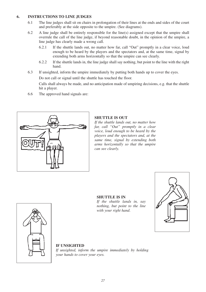#### **6. INSTRUCTIONS TO LINE JUDGES**

- 6.1 The line judges shall sit on chairs in prolongation of their lines at the ends and sides of the court and preferably at the side opposite to the umpire. (See diagrams).
- 6.2 A line judge shall be entirely responsible for the line(s) assigned except that the umpire shall overrule the call of the line judge, if beyond reasonable doubt, in the opinion of the umpire, a line judge has clearly made a wrong call.
	- 6.2.1 If the shuttle lands out, no matter how far, call "Out" promptly in a clear voice, loud enough to be heard by the players and the spectators and, at the same time, signal by extending both arms horizontally so that the umpire can see clearly.
	- 6.2.2 If the shuttle lands in, the line judge shall say nothing, but point to the line with the right hand.
- 6.3 If unsighted, inform the umpire immediately by putting both hands up to cover the eyes.

Do not call or signal until the shuttle has touched the floor.

Calls shall always be made, and no anticipation made of umpiring decisions, e.g. that the shuttle hit a player.

6.6 The approved hand signals are:



# **SHUTTLE IS OUT**

*If the shuttle lands out, no matter how far, call "Out" promptly in a clear voice, loud enough to be heard by the players and the spectators and, at the same time, signal by extending both arms horizontally so that the umpire can see clearly.*

# **SHUTTLE IS IN**

*If the shuttle lands in, say nothing, but point to the line with your right hand*.





# **IF UNSIGHTED**

*If unsighted, inform the umpire immediately by holding your hands to cover your eyes.*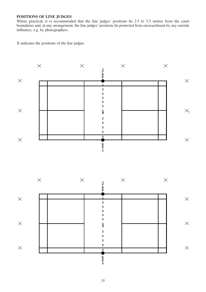# **POSITIONS OF LINE JUDGES**

Where practical, it is recommended that the line judges' positions be 2.5 to 3.5 metres from the court boundaries and, in any arrangement, the line judges' positions be protected from encroachment by any outside influence, e.g. by photographers.

X indicates the positions of the line judges